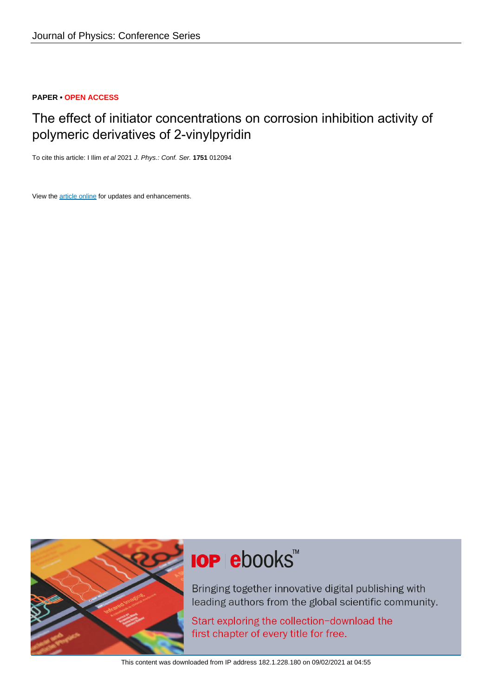# **PAPER • OPEN ACCESS**

# The effect of initiator concentrations on corrosion inhibition activity of polymeric derivatives of 2-vinylpyridin

To cite this article: I Ilim et al 2021 J. Phys.: Conf. Ser. **1751** 012094

View the [article online](https://doi.org/10.1088/1742-6596/1751/1/012094) for updates and enhancements.



# **IOP ebooks**™

Bringing together innovative digital publishing with leading authors from the global scientific community.

Start exploring the collection-download the first chapter of every title for free.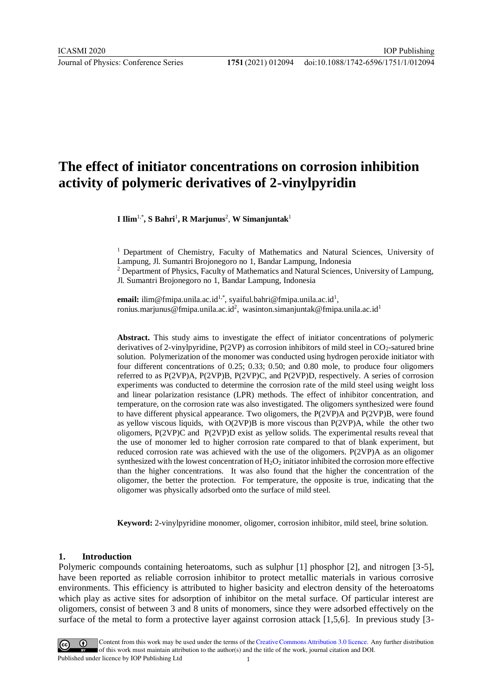Journal of Physics: Conference Series **1751** (2021) 012094

# **The effect of initiator concentrations on corrosion inhibition activity of polymeric derivatives of 2-vinylpyridin**

**I Ilim**1,\* **, S Bahri**<sup>1</sup> **, R Marjunus**<sup>2</sup> , **W Simanjuntak**<sup>1</sup>

<sup>1</sup> Department of Chemistry, Faculty of Mathematics and Natural Sciences, University of Lampung, Jl. Sumantri Brojonegoro no 1, Bandar Lampung, Indonesia

<sup>2</sup> Department of Physics, Faculty of Mathematics and Natural Sciences, University of Lampung, Jl. Sumantri Brojonegoro no 1, Bandar Lampung, Indonesia

**email:** [ilim@fmipa.unila.ac.id](mailto:ilim@fmipa.unila.ac.id)<sup>1,\*</sup>, syaiful.bahri@fmipa.unila.ac.id<sup>1</sup>, [ronius.marjunus@fmipa.unila.ac.id](about:blank)<sup>2</sup>[,](about:blank) [wasinton.simanjuntak@fmipa.unila.ac.id](about:blank)<sup>[1](about:blank)</sup>

**Abstract.** This study aims to investigate the effect of initiator concentrations of polymeric derivatives of 2-vinylpyridine,  $P(2VP)$  as corrosion inhibitors of mild steel in  $CO<sub>2</sub>$ -satured brine solution. Polymerization of the monomer was conducted using hydrogen peroxide initiator with four different concentrations of 0.25; 0.33; 0.50; and 0.80 mole, to produce four oligomers referred to as P(2VP)A, P(2VP)B, P(2VP)C, and P(2VP)D, respectively. A series of corrosion experiments was conducted to determine the corrosion rate of the mild steel using weight loss and linear polarization resistance (LPR) methods. The effect of inhibitor concentration, and temperature, on the corrosion rate was also investigated. The oligomers synthesized were found to have different physical appearance. Two oligomers, the P(2VP)A and P(2VP)B, were found as yellow viscous liquids, with  $O(2VP)B$  is more viscous than  $P(2VP)A$ , while the other two oligomers, P(2VP)C and P(2VP)D exist as yellow solids. The experimental results reveal that the use of monomer led to higher corrosion rate compared to that of blank experiment, but reduced corrosion rate was achieved with the use of the oligomers. P(2VP)A as an oligomer synthesized with the lowest concentration of  $H_2O_2$  initiator inhibited the corrosion more effective than the higher concentrations. It was also found that the higher the concentration of the oligomer, the better the protection. For temperature, the opposite is true, indicating that the oligomer was physically adsorbed onto the surface of mild steel.

**Keyword:** 2-vinylpyridine monomer, oligomer, corrosion inhibitor, mild steel, brine solution.

# **1. Introduction**

Polymeric compounds containing heteroatoms, such as sulphur [1] phosphor [2], and nitrogen [3-5], have been reported as reliable corrosion inhibitor to protect metallic materials in various corrosive environments. This efficiency is attributed to higher basicity and electron density of the heteroatoms which play as active sites for adsorption of inhibitor on the metal surface. Of particular interest are oligomers, consist of between 3 and 8 units of monomers, since they were adsorbed effectively on the surface of the metal to form a protective layer against corrosion attack [1,5,6]. In previous study [3-

Content from this work may be used under the terms of theCreative Commons Attribution 3.0 licence. Any further distribution of this work must maintain attribution to the author(s) and the title of the work, journal citation and DOI. Published under licence by IOP Publishing Ltd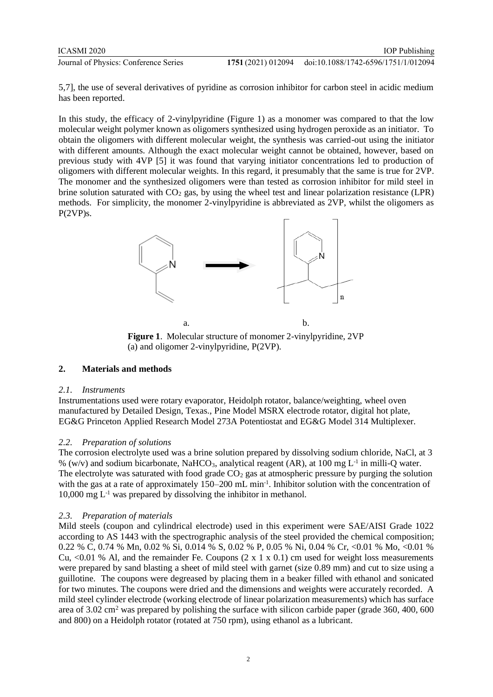| ICASMI 2020                           | <b>IOP</b> Publishing                                  |
|---------------------------------------|--------------------------------------------------------|
| Journal of Physics: Conference Series | 1751 (2021) 012094 doi:10.1088/1742-6596/1751/1/012094 |

5,7], the use of several derivatives of pyridine as corrosion inhibitor for carbon steel in acidic medium has been reported.

In this study, the efficacy of 2-vinylpyridine (Figure 1) as a monomer was compared to that the low molecular weight polymer known as oligomers synthesized using hydrogen peroxide as an initiator. To obtain the oligomers with different molecular weight, the synthesis was carried-out using the initiator with different amounts. Although the exact molecular weight cannot be obtained, however, based on previous study with 4VP [5] it was found that varying initiator concentrations led to production of oligomers with different molecular weights. In this regard, it presumably that the same is true for 2VP. The monomer and the synthesized oligomers were than tested as corrosion inhibitor for mild steel in brine solution saturated with  $CO<sub>2</sub>$  gas, by using the wheel test and linear polarization resistance (LPR) methods. For simplicity, the monomer 2-vinylpyridine is abbreviated as 2VP, whilst the oligomers as P(2VP)s.



**Figure 1**. Molecular structure of monomer 2-vinylpyridine, 2VP (a) and oligomer 2-vinylpyridine, P(2VP).

# **2. Materials and methods**

# *2.1. Instruments*

Instrumentations used were rotary evaporator, Heidolph rotator, balance/weighting, wheel oven manufactured by Detailed Design, Texas., Pine Model MSRX electrode rotator, digital hot plate, EG&G Princeton Applied Research Model 273A Potentiostat and EG&G Model 314 Multiplexer.

# *2.2. Preparation of solutions*

The corrosion electrolyte used was a brine solution prepared by dissolving sodium chloride, NaCl, at 3 % (w/v) and sodium bicarbonate, NaHCO<sub>3</sub>, analytical reagent (AR), at 100 mg  $L^{-1}$  in milli-Q water. The electrolyte was saturated with food grade  $CO<sub>2</sub>$  gas at atmospheric pressure by purging the solution with the gas at a rate of approximately 150–200 mL min<sup>-1</sup>. Inhibitor solution with the concentration of  $10,000 \text{ mg } L^{-1}$  was prepared by dissolving the inhibitor in methanol.

# *2.3. Preparation of materials*

Mild steels (coupon and cylindrical electrode) used in this experiment were SAE/AISI Grade 1022 according to AS 1443 with the spectrographic analysis of the steel provided the chemical composition; 0.22 % C, 0.74 % Mn, 0.02 % Si, 0.014 % S, 0.02 % P, 0.05 % Ni, 0.04 % Cr, <0.01 % Mo, <0.01 % Cu, <0.01 % Al, and the remainder Fe. Coupons  $(2 \times 1 \times 0.1)$  cm used for weight loss measurements were prepared by sand blasting a sheet of mild steel with garnet (size 0.89 mm) and cut to size using a guillotine. The coupons were degreased by placing them in a beaker filled with ethanol and sonicated for two minutes. The coupons were dried and the dimensions and weights were accurately recorded. A mild steel cylinder electrode (working electrode of linear polarization measurements) which has surface area of 3.02 cm<sup>2</sup> was prepared by polishing the surface with silicon carbide paper (grade 360, 400, 600 and 800) on a Heidolph rotator (rotated at 750 rpm), using ethanol as a lubricant.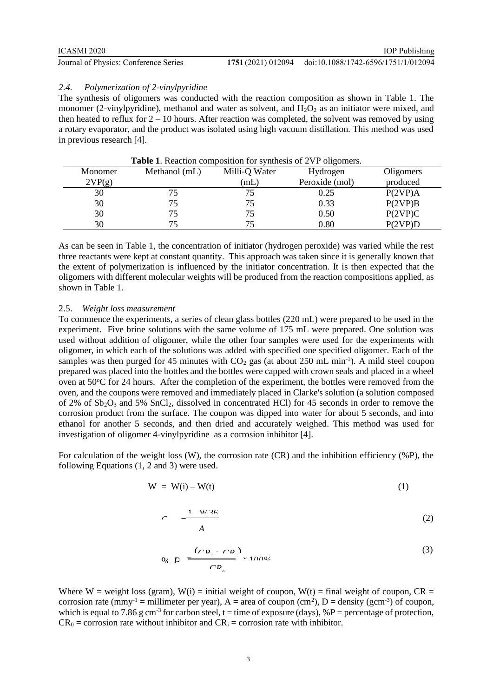Journal of Physics: Conference Series **1751** (2021) 012094

#### *2.4. Polymerization of 2-vinylpyridine*

The synthesis of oligomers was conducted with the reaction composition as shown in Table 1. The monomer (2-vinylpyridine), methanol and water as solvent, and  $H_2O_2$  as an initiator were mixed, and then heated to reflux for  $2 - 10$  hours. After reaction was completed, the solvent was removed by using a rotary evaporator, and the product was isolated using high vacuum distillation. This method was used in previous research [4].

| <b>Table 1.</b> Reaction composition for synthesis of 2VP oligomers. |               |               |                |           |
|----------------------------------------------------------------------|---------------|---------------|----------------|-----------|
| Monomer                                                              | Methanol (mL) | Milli-Q Water | Hydrogen       | Oligomers |
| 2VP(g)                                                               |               | (mL)          | Peroxide (mol) | produced  |
| 30                                                                   | 75            | 75            | 0.25           | P(2VP)A   |
| 30                                                                   | 75            | 75            | 0.33           | P(2VP)B   |
| 30                                                                   | 75            | 75            | 0.50           | P(2VP)C   |
| 30                                                                   | 75            | 75            | 0.80           | P(2VP)D   |

As can be seen in Table 1, the concentration of initiator (hydrogen peroxide) was varied while the rest three reactants were kept at constant quantity. This approach was taken since it is generally known that the extent of polymerization is influenced by the initiator concentration. It is then expected that the oligomers with different molecular weights will be produced from the reaction compositions applied, as shown in Table 1.

#### 2.5. *Weight loss measurement*

To commence the experiments, a series of clean glass bottles (220 mL) were prepared to be used in the experiment. Five brine solutions with the same volume of 175 mL were prepared. One solution was used without addition of oligomer, while the other four samples were used for the experiments with oligomer, in which each of the solutions was added with specified one specified oligomer. Each of the samples was then purged for 45 minutes with  $CO<sub>2</sub>$  gas (at about 250 mL min<sup>-1</sup>). A mild steel coupon prepared was placed into the bottles and the bottles were capped with crown seals and placed in a wheel oven at 50°C for 24 hours. After the completion of the experiment, the bottles were removed from the oven, and the coupons were removed and immediately placed in Clarke's solution (a solution composed of  $2\%$  of  $Sb_2O_3$  and  $5\%$  SnCl<sub>2</sub>, dissolved in concentrated HCl) for 45 seconds in order to remove the corrosion product from the surface. The coupon was dipped into water for about 5 seconds, and into ethanol for another 5 seconds, and then dried and accurately weighed. This method was used for investigation of oligomer 4-vinylpyridine as a corrosion inhibitor [4].

For calculation of the weight loss (W), the corrosion rate (CR) and the inhibition efficiency (%P), the following Equations (1, 2 and 3) were used.

$$
W = W(i) - W(t) \tag{1}
$$

$$
C = \frac{1 - W \cdot 26}{A} \tag{2}
$$

$$
0, \quad p \quad \xrightarrow{\begin{pmatrix} C \cdot D & C \cdot D \\ & \ddots & \vdots \\ & \ddots & \ddots \end{pmatrix}} \quad \text{and} \quad (3)
$$

Where W = weight loss (gram),  $W(i)$  = initial weight of coupon,  $W(t)$  = final weight of coupon,  $CR =$ corrosion rate (mmy<sup>-1</sup> = millimeter per year),  $A =$  area of coupon (cm<sup>2</sup>),  $D =$  density (gcm<sup>-3</sup>) of coupon, which is equal to 7.86 g cm<sup>-3</sup> for carbon steel, t = time of exposure (days), %P = percentage of protection,  $CR_0 =$  corrosion rate without inhibitor and  $CR_i =$  corrosion rate with inhibitor.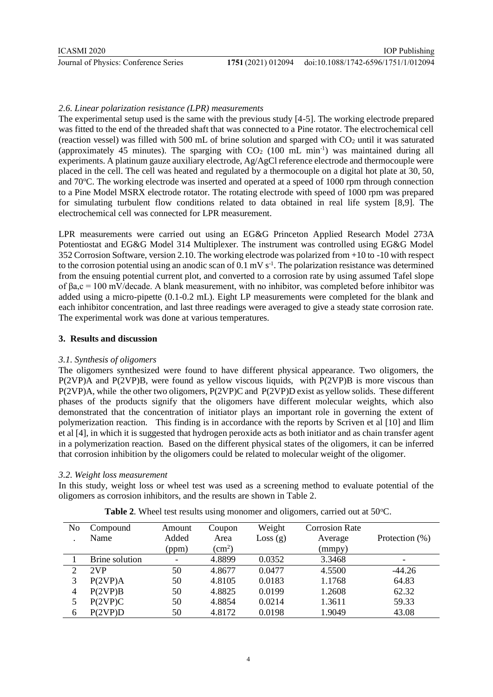# *2.6. Linear polarization resistance (LPR) measurements*

The experimental setup used is the same with the previous study [4-5]. The working electrode prepared was fitted to the end of the threaded shaft that was connected to a Pine rotator. The electrochemical cell (reaction vessel) was filled with 500 mL of brine solution and sparged with  $CO<sub>2</sub>$  until it was saturated (approximately 45 minutes). The sparging with  $CO<sub>2</sub>$  (100 mL min<sup>-1</sup>) was maintained during all experiments. A platinum gauze auxiliary electrode, Ag/AgCl reference electrode and thermocouple were placed in the cell. The cell was heated and regulated by a thermocouple on a digital hot plate at 30, 50, and 70<sup>o</sup>C. The working electrode was inserted and operated at a speed of 1000 rpm through connection to a Pine Model MSRX electrode rotator. The rotating electrode with speed of 1000 rpm was prepared for simulating turbulent flow conditions related to data obtained in real life system [8,9]. The electrochemical cell was connected for LPR measurement.

LPR measurements were carried out using an EG&G Princeton Applied Research Model 273A Potentiostat and EG&G Model 314 Multiplexer. The instrument was controlled using EG&G Model 352 Corrosion Software, version 2.10. The working electrode was polarized from +10 to -10 with respect to the corrosion potential using an anodic scan of  $0.1 \text{ mV s}^{-1}$ . The polarization resistance was determined from the ensuing potential current plot, and converted to a corrosion rate by using assumed Tafel slope of βa,c = 100 mV/decade. A blank measurement, with no inhibitor, was completed before inhibitor was added using a micro-pipette (0.1-0.2 mL). Eight LP measurements were completed for the blank and each inhibitor concentration, and last three readings were averaged to give a steady state corrosion rate. The experimental work was done at various temperatures.

# **3. Results and discussion**

# *3.1. Synthesis of oligomers*

The oligomers synthesized were found to have different physical appearance. Two oligomers, the P(2VP)A and P(2VP)B, were found as yellow viscous liquids, with P(2VP)B is more viscous than P(2VP)A, while the other two oligomers, P(2VP)C and P(2VP)D exist as yellow solids. These different phases of the products signify that the oligomers have different molecular weights, which also demonstrated that the concentration of initiator plays an important role in governing the extent of polymerization reaction. This finding is in accordance with the reports by Scriven et al [10] and Ilim et al [4], in which it is suggested that hydrogen peroxide acts as both initiator and as chain transfer agent in a polymerization reaction. Based on the different physical states of the oligomers, it can be inferred that corrosion inhibition by the oligomers could be related to molecular weight of the oligomer.

# *3.2. Weight loss measurement*

In this study, weight loss or wheel test was used as a screening method to evaluate potential of the oligomers as corrosion inhibitors, and the results are shown in Table 2.

| No             | Compound       | Amount                   | Coupon       | Weight  | <b>Corrosion Rate</b> |                          |
|----------------|----------------|--------------------------|--------------|---------|-----------------------|--------------------------|
| $\bullet$      | Name           | Added                    | Area         | Loss(g) | Average               | Protection (%)           |
|                |                | (ppm)                    | $\rm (cm^2)$ |         | (mmpy)                |                          |
|                | Brine solution | $\overline{\phantom{a}}$ | 4.8899       | 0.0352  | 3.3468                | $\overline{\phantom{a}}$ |
| $\overline{2}$ | 2VP            | 50                       | 4.8677       | 0.0477  | 4.5500                | $-44.26$                 |
| 3              | P(2VP)A        | 50                       | 4.8105       | 0.0183  | 1.1768                | 64.83                    |
| 4              | P(2VP)B        | 50                       | 4.8825       | 0.0199  | 1.2608                | 62.32                    |
| 5              | P(2VP)C        | 50                       | 4.8854       | 0.0214  | 1.3611                | 59.33                    |
| 6              | P(2VP)D        | 50                       | 4.8172       | 0.0198  | 1.9049                | 43.08                    |

**Table 2.** Wheel test results using monomer and oligomers, carried out at 50°C.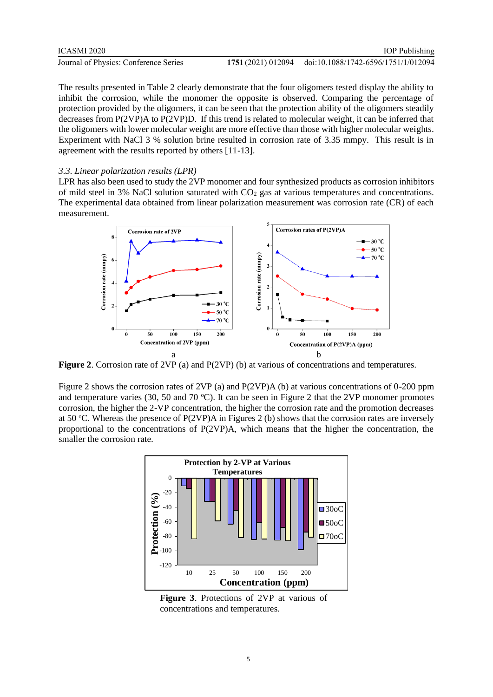| <b>ICASMI 2020</b>                    |                    | <b>IOP</b> Publishing               |
|---------------------------------------|--------------------|-------------------------------------|
| Journal of Physics: Conference Series | 1751 (2021) 012094 | doi:10.1088/1742-6596/1751/1/012094 |

The results presented in Table 2 clearly demonstrate that the four oligomers tested display the ability to inhibit the corrosion, while the monomer the opposite is observed. Comparing the percentage of protection provided by the oligomers, it can be seen that the protection ability of the oligomers steadily decreases from P(2VP)A to P(2VP)D. If this trend is related to molecular weight, it can be inferred that the oligomers with lower molecular weight are more effective than those with higher molecular weights. Experiment with NaCl 3 % solution brine resulted in corrosion rate of 3.35 mmpy. This result is in agreement with the results reported by others [11-13].

#### *3.3. Linear polarization results (LPR)*

LPR has also been used to study the 2VP monomer and four synthesized products as corrosion inhibitors of mild steel in 3% NaCl solution saturated with  $CO<sub>2</sub>$  gas at various temperatures and concentrations. The experimental data obtained from linear polarization measurement was corrosion rate (CR) of each measurement.



**Figure 2**. Corrosion rate of 2VP (a) and P(2VP) (b) at various of concentrations and temperatures.

Figure 2 shows the corrosion rates of 2VP (a) and P(2VP)A (b) at various concentrations of 0-200 ppm and temperature varies (30, 50 and 70 °C). It can be seen in Figure 2 that the 2VP monomer promotes corrosion, the higher the 2-VP concentration, the higher the corrosion rate and the promotion decreases at 50 °C. Whereas the presence of P(2VP)A in Figures 2 (b) shows that the corrosion rates are inversely proportional to the concentrations of P(2VP)A, which means that the higher the concentration, the smaller the corrosion rate.



**Figure 3**. Protections of 2VP at various of concentrations and temperatures.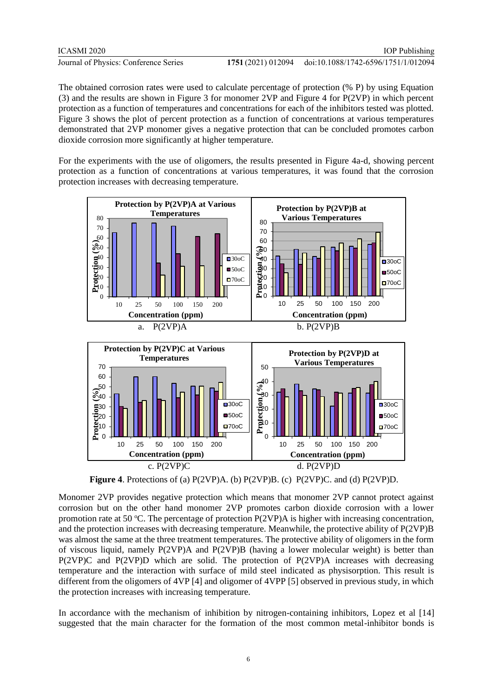| ICASMI 2020                           | <b>IOP</b> Publishing                                  |
|---------------------------------------|--------------------------------------------------------|
| Journal of Physics: Conference Series | 1751 (2021) 012094 doi:10.1088/1742-6596/1751/1/012094 |

The obtained corrosion rates were used to calculate percentage of protection (% P) by using Equation (3) and the results are shown in Figure 3 for monomer 2VP and Figure 4 for P(2VP) in which percent protection as a function of temperatures and concentrations for each of the inhibitors tested was plotted. Figure 3 shows the plot of percent protection as a function of concentrations at various temperatures demonstrated that 2VP monomer gives a negative protection that can be concluded promotes carbon dioxide corrosion more significantly at higher temperature.

For the experiments with the use of oligomers, the results presented in Figure 4a-d, showing percent protection as a function of concentrations at various temperatures, it was found that the corrosion protection increases with decreasing temperature.



**Figure 4**. Protections of (a) P(2VP)A. (b) P(2VP)B. (c) P(2VP)C. and (d) P(2VP)D.

Monomer 2VP provides negative protection which means that monomer 2VP cannot protect against corrosion but on the other hand monomer 2VP promotes carbon dioxide corrosion with a lower promotion rate at 50 °C. The percentage of protection  $P(2VP)A$  is higher with increasing concentration, and the protection increases with decreasing temperature. Meanwhile, the protective ability of P(2VP)B was almost the same at the three treatment temperatures. The protective ability of oligomers in the form of viscous liquid, namely P(2VP)A and P(2VP)B (having a lower molecular weight) is better than P(2VP)C and P(2VP)D which are solid. The protection of P(2VP)A increases with decreasing temperature and the interaction with surface of mild steel indicated as physisorption. This result is different from the oligomers of 4VP [4] and oligomer of 4VPP [5] observed in previous study, in which the protection increases with increasing temperature.

In accordance with the mechanism of inhibition by nitrogen-containing inhibitors, Lopez et al [14] suggested that the main character for the formation of the most common metal-inhibitor bonds is